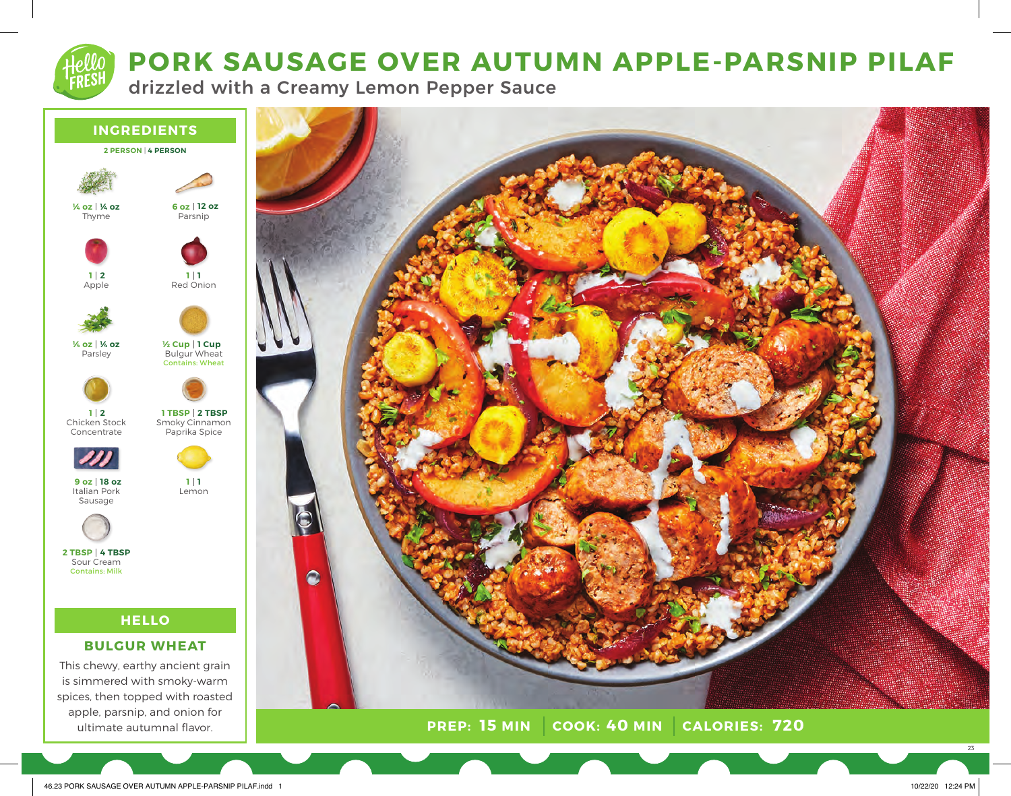# **PORK SAUSAGE OVER AUTUMN APPLE-PARSNIP PILAF**

drizzled with a Creamy Lemon Pepper Sauce





**PREP: COOK: CALORIES: 15 MIN 40 MIN 720**

23